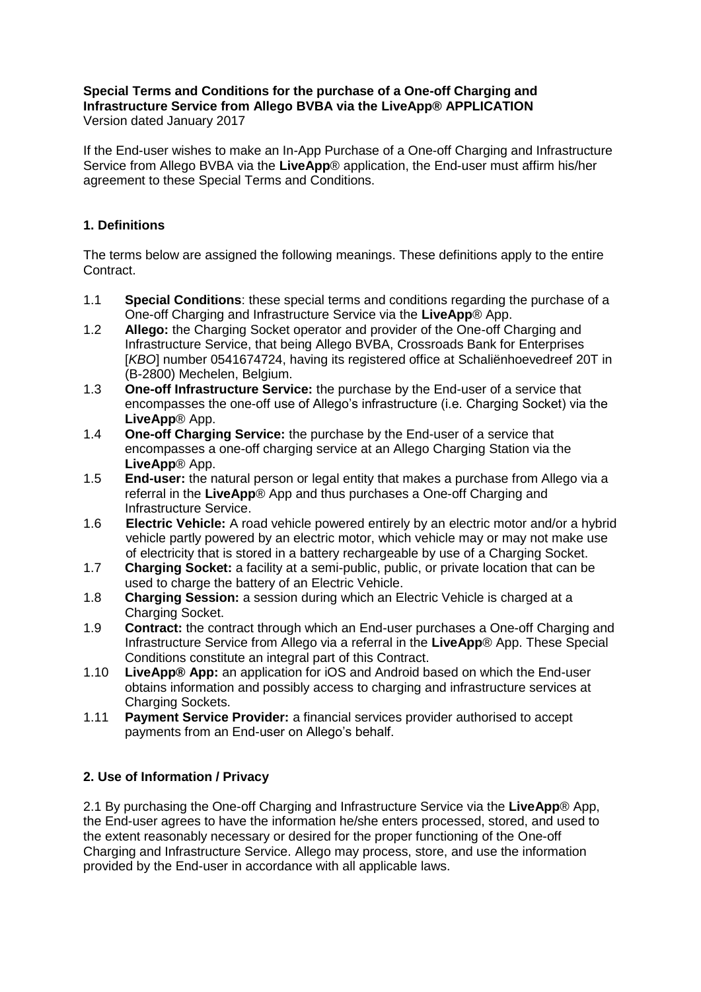#### **Special Terms and Conditions for the purchase of a One-off Charging and Infrastructure Service from Allego BVBA via the LiveApp® APPLICATION** Version dated January 2017

If the End-user wishes to make an In-App Purchase of a One-off Charging and Infrastructure Service from Allego BVBA via the **LiveApp**® application, the End-user must affirm his/her agreement to these Special Terms and Conditions.

# **1. Definitions**

The terms below are assigned the following meanings. These definitions apply to the entire Contract.

- 1.1 **Special Conditions**: these special terms and conditions regarding the purchase of a One-off Charging and Infrastructure Service via the **LiveApp**® App.
- 1.2 **Allego:** the Charging Socket operator and provider of the One-off Charging and Infrastructure Service, that being Allego BVBA, Crossroads Bank for Enterprises [*KBO*] number 0541674724, having its registered office at Schaliënhoevedreef 20T in (B-2800) Mechelen, Belgium.
- 1.3 **One-off Infrastructure Service:** the purchase by the End-user of a service that encompasses the one-off use of Allego's infrastructure (i.e. Charging Socket) via the **LiveApp**® App.
- 1.4 **One-off Charging Service:** the purchase by the End-user of a service that encompasses a one-off charging service at an Allego Charging Station via the **LiveApp**® App.
- 1.5 **End-user:** the natural person or legal entity that makes a purchase from Allego via a referral in the **LiveApp**® App and thus purchases a One-off Charging and Infrastructure Service.
- 1.6 **Electric Vehicle:** A road vehicle powered entirely by an electric motor and/or a hybrid vehicle partly powered by an electric motor, which vehicle may or may not make use of electricity that is stored in a battery rechargeable by use of a Charging Socket.
- 1.7 **Charging Socket:** a facility at a semi-public, public, or private location that can be used to charge the battery of an Electric Vehicle.
- 1.8 **Charging Session:** a session during which an Electric Vehicle is charged at a Charging Socket.
- 1.9 **Contract:** the contract through which an End-user purchases a One-off Charging and Infrastructure Service from Allego via a referral in the **LiveApp**® App. These Special Conditions constitute an integral part of this Contract.
- 1.10 **LiveApp® App:** an application for iOS and Android based on which the End-user obtains information and possibly access to charging and infrastructure services at Charging Sockets.
- 1.11 **Payment Service Provider:** a financial services provider authorised to accept payments from an End-user on Allego's behalf.

# **2. Use of Information / Privacy**

2.1 By purchasing the One-off Charging and Infrastructure Service via the **LiveApp**® App, the End-user agrees to have the information he/she enters processed, stored, and used to the extent reasonably necessary or desired for the proper functioning of the One-off Charging and Infrastructure Service. Allego may process, store, and use the information provided by the End-user in accordance with all applicable laws.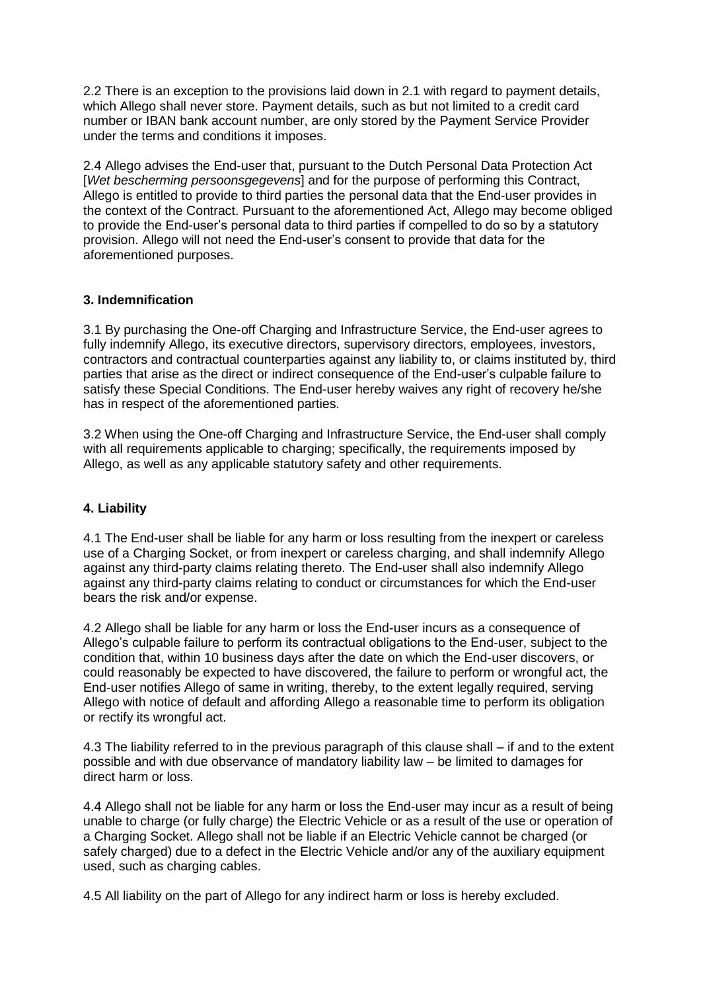2.2 There is an exception to the provisions laid down in 2.1 with regard to payment details, which Allego shall never store. Payment details, such as but not limited to a credit card number or IBAN bank account number, are only stored by the Payment Service Provider under the terms and conditions it imposes.

2.4 Allego advises the End-user that, pursuant to the Dutch Personal Data Protection Act [*Wet bescherming persoonsgegevens*] and for the purpose of performing this Contract, Allego is entitled to provide to third parties the personal data that the End-user provides in the context of the Contract. Pursuant to the aforementioned Act, Allego may become obliged to provide the End-user's personal data to third parties if compelled to do so by a statutory provision. Allego will not need the End-user's consent to provide that data for the aforementioned purposes.

### **3. Indemnification**

3.1 By purchasing the One-off Charging and Infrastructure Service, the End-user agrees to fully indemnify Allego, its executive directors, supervisory directors, employees, investors, contractors and contractual counterparties against any liability to, or claims instituted by, third parties that arise as the direct or indirect consequence of the End-user's culpable failure to satisfy these Special Conditions. The End-user hereby waives any right of recovery he/she has in respect of the aforementioned parties.

3.2 When using the One-off Charging and Infrastructure Service, the End-user shall comply with all requirements applicable to charging; specifically, the requirements imposed by Allego, as well as any applicable statutory safety and other requirements.

# **4. Liability**

4.1 The End-user shall be liable for any harm or loss resulting from the inexpert or careless use of a Charging Socket, or from inexpert or careless charging, and shall indemnify Allego against any third-party claims relating thereto. The End-user shall also indemnify Allego against any third-party claims relating to conduct or circumstances for which the End-user bears the risk and/or expense.

4.2 Allego shall be liable for any harm or loss the End-user incurs as a consequence of Allego's culpable failure to perform its contractual obligations to the End-user, subject to the condition that, within 10 business days after the date on which the End-user discovers, or could reasonably be expected to have discovered, the failure to perform or wrongful act, the End-user notifies Allego of same in writing, thereby, to the extent legally required, serving Allego with notice of default and affording Allego a reasonable time to perform its obligation or rectify its wrongful act.

4.3 The liability referred to in the previous paragraph of this clause shall – if and to the extent possible and with due observance of mandatory liability law – be limited to damages for direct harm or loss.

4.4 Allego shall not be liable for any harm or loss the End-user may incur as a result of being unable to charge (or fully charge) the Electric Vehicle or as a result of the use or operation of a Charging Socket. Allego shall not be liable if an Electric Vehicle cannot be charged (or safely charged) due to a defect in the Electric Vehicle and/or any of the auxiliary equipment used, such as charging cables.

4.5 All liability on the part of Allego for any indirect harm or loss is hereby excluded.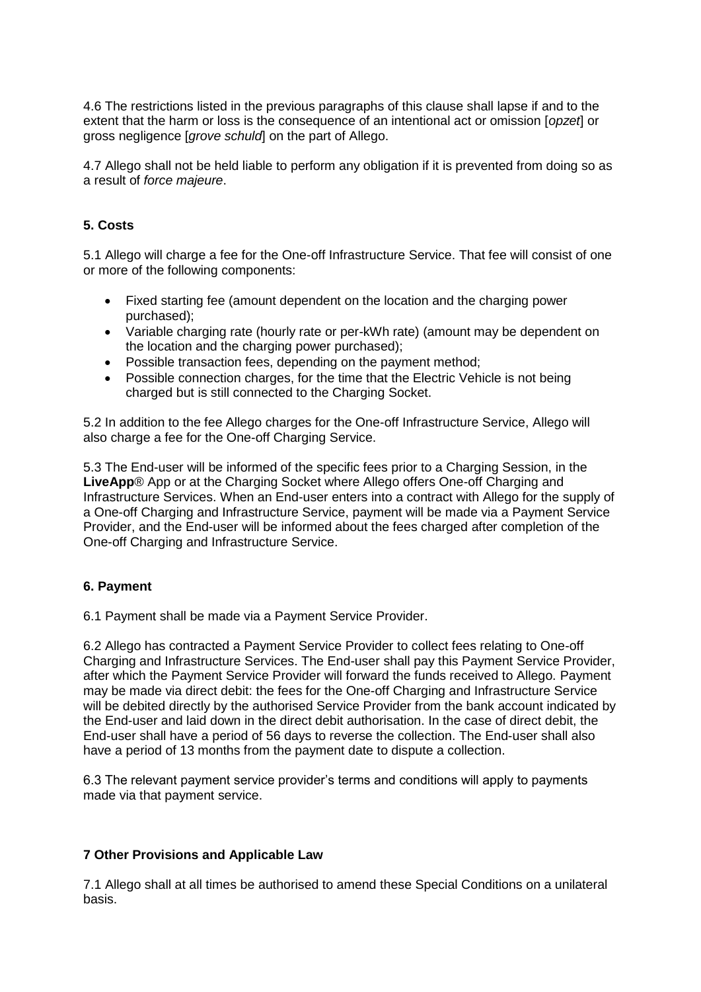4.6 The restrictions listed in the previous paragraphs of this clause shall lapse if and to the extent that the harm or loss is the consequence of an intentional act or omission [*opzet*] or gross negligence [*grove schuld*] on the part of Allego.

4.7 Allego shall not be held liable to perform any obligation if it is prevented from doing so as a result of *force majeure*.

### **5. Costs**

5.1 Allego will charge a fee for the One-off Infrastructure Service. That fee will consist of one or more of the following components:

- Fixed starting fee (amount dependent on the location and the charging power purchased);
- Variable charging rate (hourly rate or per-kWh rate) (amount may be dependent on the location and the charging power purchased);
- Possible transaction fees, depending on the payment method;
- Possible connection charges, for the time that the Electric Vehicle is not being charged but is still connected to the Charging Socket.

5.2 In addition to the fee Allego charges for the One-off Infrastructure Service, Allego will also charge a fee for the One-off Charging Service.

5.3 The End-user will be informed of the specific fees prior to a Charging Session, in the **LiveApp**® App or at the Charging Socket where Allego offers One-off Charging and Infrastructure Services. When an End-user enters into a contract with Allego for the supply of a One-off Charging and Infrastructure Service, payment will be made via a Payment Service Provider, and the End-user will be informed about the fees charged after completion of the One-off Charging and Infrastructure Service.

### **6. Payment**

6.1 Payment shall be made via a Payment Service Provider.

6.2 Allego has contracted a Payment Service Provider to collect fees relating to One-off Charging and Infrastructure Services. The End-user shall pay this Payment Service Provider, after which the Payment Service Provider will forward the funds received to Allego. Payment may be made via direct debit: the fees for the One-off Charging and Infrastructure Service will be debited directly by the authorised Service Provider from the bank account indicated by the End-user and laid down in the direct debit authorisation. In the case of direct debit, the End-user shall have a period of 56 days to reverse the collection. The End-user shall also have a period of 13 months from the payment date to dispute a collection.

6.3 The relevant payment service provider's terms and conditions will apply to payments made via that payment service.

### **7 Other Provisions and Applicable Law**

7.1 Allego shall at all times be authorised to amend these Special Conditions on a unilateral basis.